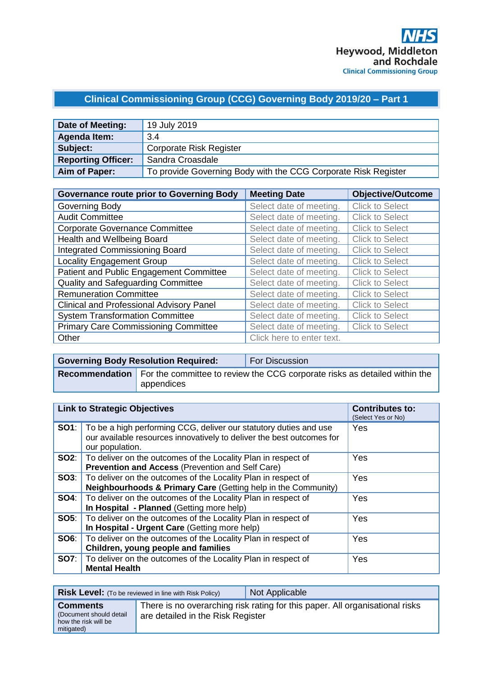# **Clinical Commissioning Group (CCG) Governing Body 2019/20 – Part 1**

| Date of Meeting:          | 19 July 2019                                                   |
|---------------------------|----------------------------------------------------------------|
| <b>Agenda Item:</b>       | 3.4                                                            |
| Subject:                  | <b>Corporate Risk Register</b>                                 |
| <b>Reporting Officer:</b> | Sandra Croasdale                                               |
| Aim of Paper:             | To provide Governing Body with the CCG Corporate Risk Register |

| <b>Governance route prior to Governing Body</b> | <b>Meeting Date</b>       | <b>Objective/Outcome</b> |
|-------------------------------------------------|---------------------------|--------------------------|
| Governing Body                                  | Select date of meeting.   | <b>Click to Select</b>   |
| <b>Audit Committee</b>                          | Select date of meeting.   | <b>Click to Select</b>   |
| <b>Corporate Governance Committee</b>           | Select date of meeting.   | <b>Click to Select</b>   |
| Health and Wellbeing Board                      | Select date of meeting.   | <b>Click to Select</b>   |
| <b>Integrated Commissioning Board</b>           | Select date of meeting.   | <b>Click to Select</b>   |
| <b>Locality Engagement Group</b>                | Select date of meeting.   | <b>Click to Select</b>   |
| Patient and Public Engagement Committee         | Select date of meeting.   | <b>Click to Select</b>   |
| Quality and Safeguarding Committee              | Select date of meeting.   | <b>Click to Select</b>   |
| <b>Remuneration Committee</b>                   | Select date of meeting.   | <b>Click to Select</b>   |
| <b>Clinical and Professional Advisory Panel</b> | Select date of meeting.   | <b>Click to Select</b>   |
| <b>System Transformation Committee</b>          | Select date of meeting.   | <b>Click to Select</b>   |
| <b>Primary Care Commissioning Committee</b>     | Select date of meeting.   | <b>Click to Select</b>   |
| Other                                           | Click here to enter text. |                          |

| <b>Governing Body Resolution Required:</b> | <b>For Discussion</b>                                                                            |
|--------------------------------------------|--------------------------------------------------------------------------------------------------|
| l appendices                               | <b>Recommendation</b> For the committee to review the CCG corporate risks as detailed within the |

|      | <b>Link to Strategic Objectives</b>                                                                                                                                        | <b>Contributes to:</b><br>(Select Yes or No) |
|------|----------------------------------------------------------------------------------------------------------------------------------------------------------------------------|----------------------------------------------|
|      | <b>SO1</b> : To be a high performing CCG, deliver our statutory duties and use<br>our available resources innovatively to deliver the best outcomes for<br>our population. | Yes                                          |
|      | <b>SO2:</b>   To deliver on the outcomes of the Locality Plan in respect of<br>Prevention and Access (Prevention and Self Care)                                            | Yes                                          |
|      | <b>SO3:</b>   To deliver on the outcomes of the Locality Plan in respect of<br><b>Neighbourhoods &amp; Primary Care (Getting help in the Community)</b>                    | Yes                                          |
| SO4: | To deliver on the outcomes of the Locality Plan in respect of<br>In Hospital - Planned (Getting more help)                                                                 | Yes                                          |
|      | <b>SO5:</b> To deliver on the outcomes of the Locality Plan in respect of<br>In Hospital - Urgent Care (Getting more help)                                                 | Yes                                          |
|      | <b>SO6:</b>   To deliver on the outcomes of the Locality Plan in respect of<br>Children, young people and families                                                         | Yes                                          |
|      | <b>SO7:</b>   To deliver on the outcomes of the Locality Plan in respect of<br><b>Mental Health</b>                                                                        | Yes                                          |

|                                                                                  | <b>Risk Level:</b> (To be reviewed in line with Risk Policy) | Not Applicable                                                               |
|----------------------------------------------------------------------------------|--------------------------------------------------------------|------------------------------------------------------------------------------|
| <b>Comments</b><br>(Document should detail<br>how the risk will be<br>mitigated) | are detailed in the Risk Register                            | There is no overarching risk rating for this paper. All organisational risks |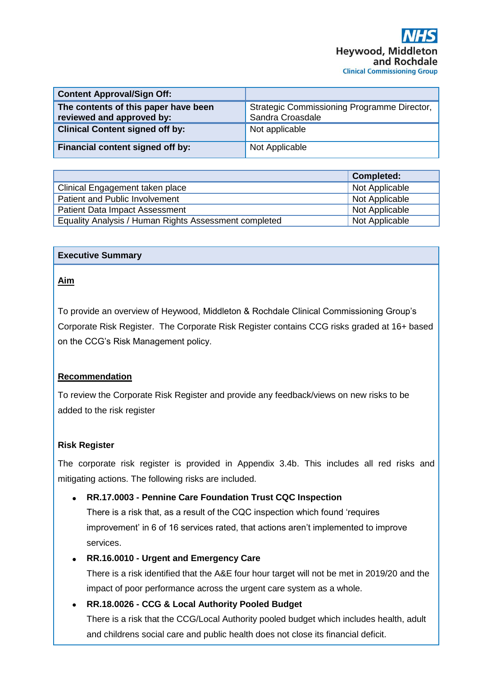| <b>Content Approval/Sign Off:</b>                                 |                                                                 |
|-------------------------------------------------------------------|-----------------------------------------------------------------|
| The contents of this paper have been<br>reviewed and approved by: | Strategic Commissioning Programme Director,<br>Sandra Croasdale |
| <b>Clinical Content signed off by:</b>                            | Not applicable                                                  |
| Financial content signed off by:                                  | Not Applicable                                                  |

|                                                       | <b>Completed:</b> |
|-------------------------------------------------------|-------------------|
| Clinical Engagement taken place                       | Not Applicable    |
| Patient and Public Involvement                        | Not Applicable    |
| <b>Patient Data Impact Assessment</b>                 | Not Applicable    |
| Equality Analysis / Human Rights Assessment completed | Not Applicable    |

#### **Executive Summary**

#### **Aim**

To provide an overview of Heywood, Middleton & Rochdale Clinical Commissioning Group's Corporate Risk Register. The Corporate Risk Register contains CCG risks graded at 16+ based on the CCG's Risk Management policy.

### **Recommendation**

To review the Corporate Risk Register and provide any feedback/views on new risks to be added to the risk register

### **Risk Register**

The corporate risk register is provided in Appendix 3.4b. This includes all red risks and mitigating actions. The following risks are included.

### • **RR.17.0003 - Pennine Care Foundation Trust CQC Inspection**

There is a risk that, as a result of the CQC inspection which found 'requires improvement' in 6 of 16 services rated, that actions aren't implemented to improve services.

### • **RR.16.0010 - Urgent and Emergency Care**

There is a risk identified that the A&E four hour target will not be met in 2019/20 and the impact of poor performance across the urgent care system as a whole.

• **RR.18.0026 - CCG & Local Authority Pooled Budget**

There is a risk that the CCG/Local Authority pooled budget which includes health, adult and childrens social care and public health does not close its financial deficit.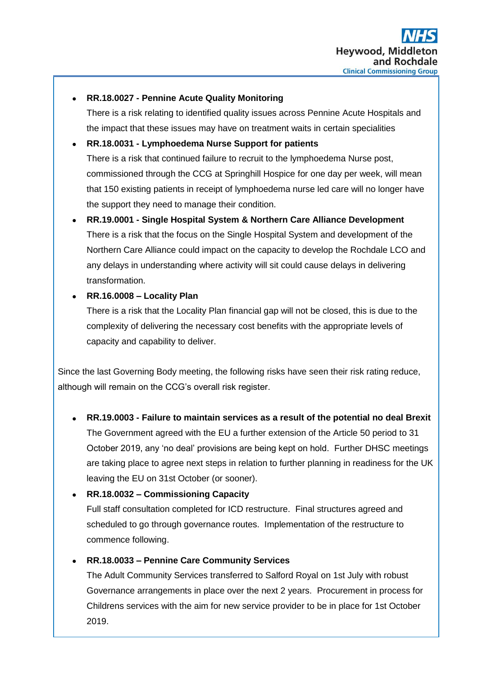### • **RR.18.0027 - Pennine Acute Quality Monitoring**

There is a risk relating to identified quality issues across Pennine Acute Hospitals and the impact that these issues may have on treatment waits in certain specialities

## • **RR.18.0031 - Lymphoedema Nurse Support for patients**

There is a risk that continued failure to recruit to the lymphoedema Nurse post, commissioned through the CCG at Springhill Hospice for one day per week, will mean that 150 existing patients in receipt of lymphoedema nurse led care will no longer have the support they need to manage their condition.

# • **RR.19.0001 - Single Hospital System & Northern Care Alliance Development** There is a risk that the focus on the Single Hospital System and development of the Northern Care Alliance could impact on the capacity to develop the Rochdale LCO and any delays in understanding where activity will sit could cause delays in delivering transformation.

## • **RR.16.0008 – Locality Plan**

There is a risk that the Locality Plan financial gap will not be closed, this is due to the complexity of delivering the necessary cost benefits with the appropriate levels of capacity and capability to deliver.

Since the last Governing Body meeting, the following risks have seen their risk rating reduce, although will remain on the CCG's overall risk register.

## • **RR.19.0003 - Failure to maintain services as a result of the potential no deal Brexit**

The Government agreed with the EU a further extension of the Article 50 period to 31 October 2019, any 'no deal' provisions are being kept on hold. Further DHSC meetings are taking place to agree next steps in relation to further planning in readiness for the UK leaving the EU on 31st October (or sooner).

## • **RR.18.0032 – Commissioning Capacity**

Full staff consultation completed for ICD restructure. Final structures agreed and scheduled to go through governance routes. Implementation of the restructure to commence following.

## • **RR.18.0033 – Pennine Care Community Services**

The Adult Community Services transferred to Salford Royal on 1st July with robust Governance arrangements in place over the next 2 years. Procurement in process for Childrens services with the aim for new service provider to be in place for 1st October 2019.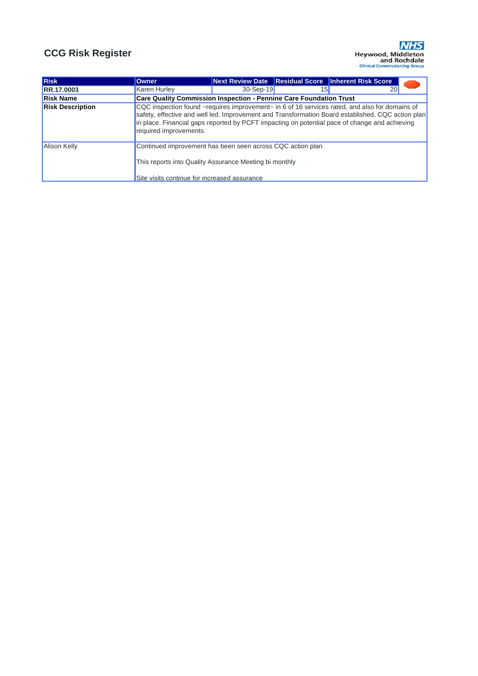| Risk                    | <b>Owner</b>                                                                                                                                                                                                                                                                                                                   |             |                 | Next Review Date   Residual Score   Inherent Risk Score |
|-------------------------|--------------------------------------------------------------------------------------------------------------------------------------------------------------------------------------------------------------------------------------------------------------------------------------------------------------------------------|-------------|-----------------|---------------------------------------------------------|
| RR.17.0003              | <b>Karen Hurley</b>                                                                                                                                                                                                                                                                                                            | $30-Sep-19$ | 15 <sub>h</sub> | 20 <sub>l</sub>                                         |
| <b>Risk Name</b>        | <b>Care Quality Commission Inspection - Pennine Care Foundation Trust</b>                                                                                                                                                                                                                                                      |             |                 |                                                         |
| <b>Risk Description</b> | CQC inspection found ~requires improvement~ in 6 of 16 services rated, and also for domains of<br>safety, effective and well led. Improvement and Transformation Board established, CQC action plan<br>in place. Financial gaps reported by PCFT impacting on potential pace of change and achieving<br>required improvements. |             |                 |                                                         |
| <b>Alison Kelly</b>     | Continued improvement has been seen across CQC action plan<br>This reports into Quality Assurance Meeting bi monthly<br>Site visits continue for increased assurance                                                                                                                                                           |             |                 |                                                         |

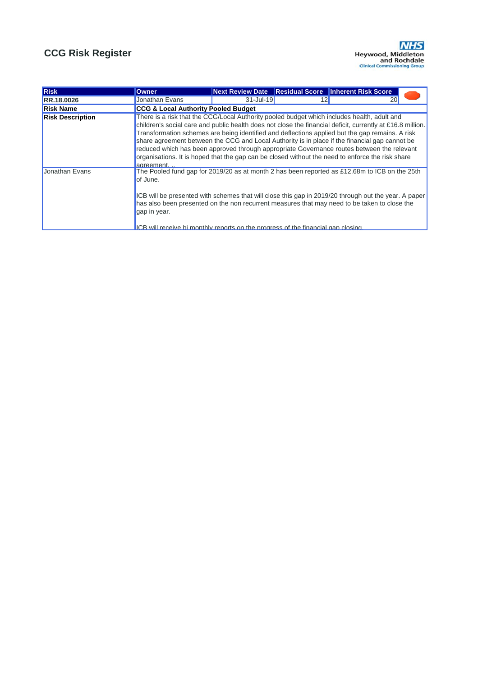

| Risk                    | <b>Owner</b>                                                                                                                                                                                                                                                                                                                                                                                                                                                                                                                                                                                                                   |               | Next Review Date Residual Score Inherent Risk Score |  |
|-------------------------|--------------------------------------------------------------------------------------------------------------------------------------------------------------------------------------------------------------------------------------------------------------------------------------------------------------------------------------------------------------------------------------------------------------------------------------------------------------------------------------------------------------------------------------------------------------------------------------------------------------------------------|---------------|-----------------------------------------------------|--|
| <b>RR.18.0026</b>       | Jonathan Evans                                                                                                                                                                                                                                                                                                                                                                                                                                                                                                                                                                                                                 | $31 -$ Jul-19 | 20                                                  |  |
| <b>Risk Name</b>        | <b>CCG &amp; Local Authority Pooled Budget</b>                                                                                                                                                                                                                                                                                                                                                                                                                                                                                                                                                                                 |               |                                                     |  |
| <b>Risk Description</b> | There is a risk that the CCG/Local Authority pooled budget which includes health, adult and<br>children's social care and public health does not close the financial deficit, currently at £16.8 million.<br>Transformation schemes are being identified and deflections applied but the gap remains. A risk<br>share agreement between the CCG and Local Authority is in place if the financial gap cannot be<br>reduced which has been approved through appropriate Governance routes between the relevant<br>organisations. It is hoped that the gap can be closed without the need to enforce the risk share<br>agreement. |               |                                                     |  |
| Jonathan Evans          | The Pooled fund gap for 2019/20 as at month 2 has been reported as £12.68m to ICB on the 25th<br>of June.<br>ICB will be presented with schemes that will close this gap in 2019/20 through out the year. A paper<br>has also been presented on the non recurrent measures that may need to be taken to close the<br>gap in year.<br>ICB will receive bi monthly reports on the progress of the financial gap closing.                                                                                                                                                                                                         |               |                                                     |  |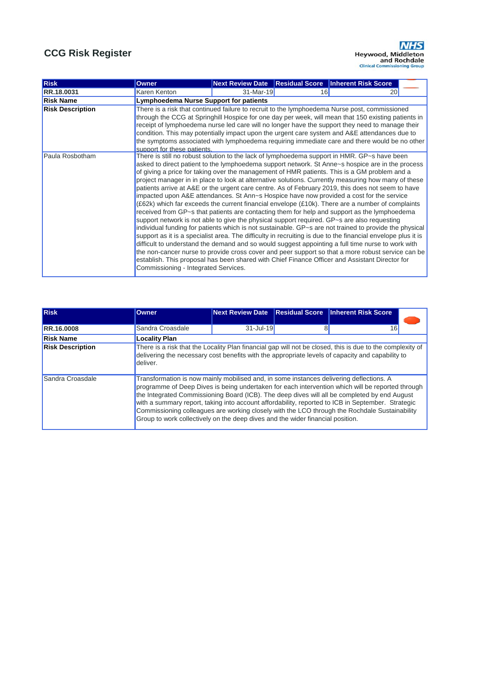

| Risk                    | <b>Owner</b>                                                                                                                        |             |    | Next Review Date Residual Score   Inherent Risk Score                                                                                                                                                                                                                                                                                                                                                                                                                                                                                                                                                                                                                                                                                                                                                                                                                                                                                                                                                                                                                                                                                                                                                                                                                                                                                             |
|-------------------------|-------------------------------------------------------------------------------------------------------------------------------------|-------------|----|---------------------------------------------------------------------------------------------------------------------------------------------------------------------------------------------------------------------------------------------------------------------------------------------------------------------------------------------------------------------------------------------------------------------------------------------------------------------------------------------------------------------------------------------------------------------------------------------------------------------------------------------------------------------------------------------------------------------------------------------------------------------------------------------------------------------------------------------------------------------------------------------------------------------------------------------------------------------------------------------------------------------------------------------------------------------------------------------------------------------------------------------------------------------------------------------------------------------------------------------------------------------------------------------------------------------------------------------------|
| RR.18.0031              | Karen Kenton                                                                                                                        | $31-Mar-19$ | 16 | 20                                                                                                                                                                                                                                                                                                                                                                                                                                                                                                                                                                                                                                                                                                                                                                                                                                                                                                                                                                                                                                                                                                                                                                                                                                                                                                                                                |
| <b>Risk Name</b>        | <b>Lymphoedema Nurse Support for patients</b>                                                                                       |             |    |                                                                                                                                                                                                                                                                                                                                                                                                                                                                                                                                                                                                                                                                                                                                                                                                                                                                                                                                                                                                                                                                                                                                                                                                                                                                                                                                                   |
| <b>Risk Description</b> | support for these patients.                                                                                                         |             |    | There is a risk that continued failure to recruit to the lymphoedema Nurse post, commissioned<br>through the CCG at Springhill Hospice for one day per week, will mean that 150 existing patients in<br>receipt of lymphoedema nurse led care will no longer have the support they need to manage their<br>condition. This may potentially impact upon the urgent care system and A&E attendances due to<br>the symptoms associated with lymphoedema requiring immediate care and there would be no other                                                                                                                                                                                                                                                                                                                                                                                                                                                                                                                                                                                                                                                                                                                                                                                                                                         |
| Paula Rosbotham         | support network is not able to give the physical support required. GP~s are also requesting<br>Commissioning - Integrated Services. |             |    | There is still no robust solution to the lack of lymphoedema support in HMR. GP~s have been<br>asked to direct patient to the lymphoedema support network. St Anne~s hospice are in the process<br>of giving a price for taking over the management of HMR patients. This is a GM problem and a<br>project manager in in place to look at alternative solutions. Currently measuring how many of these<br>patients arrive at A&E or the urgent care centre. As of February 2019, this does not seem to have<br>impacted upon A&E attendances. St Ann~s Hospice have now provided a cost for the service<br>(£62k) which far exceeds the current financial envelope (£10k). There are a number of complaints<br>received from GP~s that patients are contacting them for help and support as the lymphoedema<br>individual funding for patients which is not sustainable. GP~s are not trained to provide the physical<br>support as it is a specialist area. The difficulty in recruiting is due to the financial envelope plus it is<br>difficult to understand the demand and so would suggest appointing a full time nurse to work with<br>the non-cancer nurse to provide cross cover and peer support so that a more robust service can be<br>establish. This proposal has been shared with Chief Finance Officer and Assistant Director for |

| <b>Risk</b>             | <b>Owner</b>                                                                                                                                                              | <b>Next Review Date</b> | <b>Residual Score</b> | <b>Inherent Risk Score</b>                                                                                                                                                                                                                                                                                                                                                                             |
|-------------------------|---------------------------------------------------------------------------------------------------------------------------------------------------------------------------|-------------------------|-----------------------|--------------------------------------------------------------------------------------------------------------------------------------------------------------------------------------------------------------------------------------------------------------------------------------------------------------------------------------------------------------------------------------------------------|
| <b>RR.16.0008</b>       | Sandra Croasdale                                                                                                                                                          | $31 -$ Jul-19           |                       | 16                                                                                                                                                                                                                                                                                                                                                                                                     |
| <b>Risk Name</b>        | <b>Locality Plan</b>                                                                                                                                                      |                         |                       |                                                                                                                                                                                                                                                                                                                                                                                                        |
| <b>Risk Description</b> | deliver.                                                                                                                                                                  |                         |                       | There is a risk that the Locality Plan financial gap will not be closed, this is due to the complexity of<br>delivering the necessary cost benefits with the appropriate levels of capacity and capability to                                                                                                                                                                                          |
| Sandra Croasdale        | Transformation is now mainly mobilised and, in some instances delivering deflections. A<br>Group to work collectively on the deep dives and the wider financial position. |                         |                       | programme of Deep Dives is being undertaken for each intervention which will be reported through<br>the Integrated Commissioning Board (ICB). The deep dives will all be completed by end August<br>with a summary report, taking into account affordability, reported to ICB in September. Strategic<br>Commissioning colleagues are working closely with the LCO through the Rochdale Sustainability |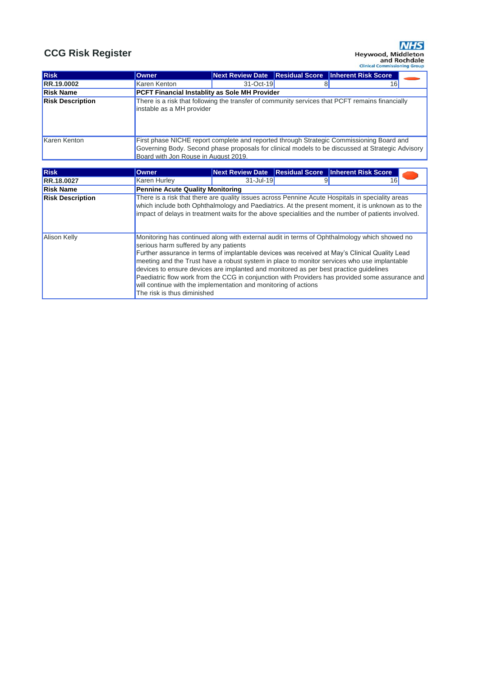| Risk                    | <b>Owner</b>                                                                                                                                                                                                                                                                                                                                                                                                                                                                                                                                                                                                                        |               | Next Review Date Residual Score Inherent Risk Score                                              |  |
|-------------------------|-------------------------------------------------------------------------------------------------------------------------------------------------------------------------------------------------------------------------------------------------------------------------------------------------------------------------------------------------------------------------------------------------------------------------------------------------------------------------------------------------------------------------------------------------------------------------------------------------------------------------------------|---------------|--------------------------------------------------------------------------------------------------|--|
| RR.18.0027              | <b>Karen Hurley</b>                                                                                                                                                                                                                                                                                                                                                                                                                                                                                                                                                                                                                 | $31 -$ Jul-19 | 16                                                                                               |  |
| <b>Risk Name</b>        | <b>Pennine Acute Quality Monitoring</b>                                                                                                                                                                                                                                                                                                                                                                                                                                                                                                                                                                                             |               |                                                                                                  |  |
| <b>Risk Description</b> | which include both Ophthalmology and Paediatrics. At the present moment, it is unknown as to the<br>impact of delays in treatment waits for the above specialities and the number of patients involved.                                                                                                                                                                                                                                                                                                                                                                                                                             |               | There is a risk that there are quality issues across Pennine Acute Hospitals in speciality areas |  |
| <b>Alison Kelly</b>     | Monitoring has continued along with external audit in terms of Ophthalmology which showed no<br>serious harm suffered by any patients<br>Further assurance in terms of implantable devices was received at May's Clinical Quality Lead<br>meeting and the Trust have a robust system in place to monitor services who use implantable<br>devices to ensure devices are implanted and monitored as per best practice quidelines<br>Paediatric flow work from the CCG in conjunction with Providers has provided some assurance and<br>will continue with the implementation and monitoring of actions<br>The risk is thus diminished |               |                                                                                                  |  |

| <b>Risk</b>             | <b>Owner</b>                                         | Next Review Date Residual Score |  | <b>Inherent Risk Score</b>                                                                                                                                                                   |  |  |
|-------------------------|------------------------------------------------------|---------------------------------|--|----------------------------------------------------------------------------------------------------------------------------------------------------------------------------------------------|--|--|
| <b>RR.19.0002</b>       | Karen Kenton                                         | $31-Oct-19$                     |  | 16                                                                                                                                                                                           |  |  |
| <b>Risk Name</b>        | <b>PCFT Financial Instablity as Sole MH Provider</b> |                                 |  |                                                                                                                                                                                              |  |  |
| <b>Risk Description</b> | instable as a MH provider                            |                                 |  | There is a risk that following the transfer of community services that PCFT remains financially                                                                                              |  |  |
| Karen Kenton            | Board with Jon Rouse in August 2019.                 |                                 |  | First phase NICHE report complete and reported through Strategic Commissioning Board and<br>Governing Body. Second phase proposals for clinical models to be discussed at Strategic Advisory |  |  |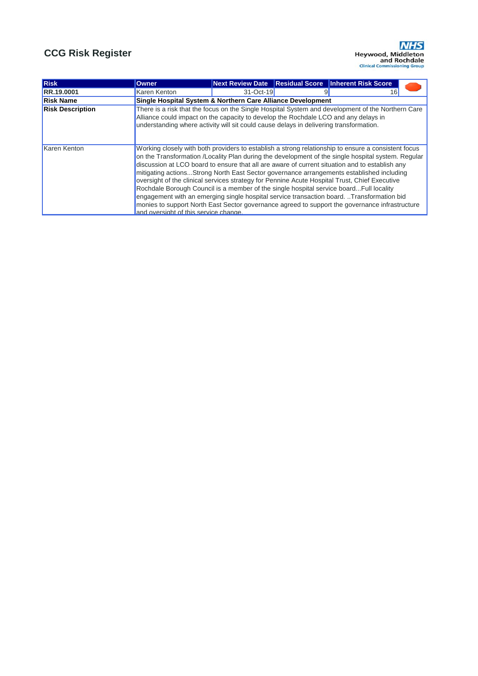

| <b>Risk</b>             | <b>Owner</b>                                                                                                                                                                                                                                                                                                                                                                                                                                                                                                                                                                                                                                                                                                                                                                                                                               |           |  | Next Review Date Residual Score Inherent Risk Score |  |  |
|-------------------------|--------------------------------------------------------------------------------------------------------------------------------------------------------------------------------------------------------------------------------------------------------------------------------------------------------------------------------------------------------------------------------------------------------------------------------------------------------------------------------------------------------------------------------------------------------------------------------------------------------------------------------------------------------------------------------------------------------------------------------------------------------------------------------------------------------------------------------------------|-----------|--|-----------------------------------------------------|--|--|
| RR.19.0001              | Karen Kenton                                                                                                                                                                                                                                                                                                                                                                                                                                                                                                                                                                                                                                                                                                                                                                                                                               | 31-Oct-19 |  | 16                                                  |  |  |
| <b>Risk Name</b>        | Single Hospital System & Northern Care Alliance Development                                                                                                                                                                                                                                                                                                                                                                                                                                                                                                                                                                                                                                                                                                                                                                                |           |  |                                                     |  |  |
| <b>Risk Description</b> | There is a risk that the focus on the Single Hospital System and development of the Northern Care<br>Alliance could impact on the capacity to develop the Rochdale LCO and any delays in<br>understanding where activity will sit could cause delays in delivering transformation.                                                                                                                                                                                                                                                                                                                                                                                                                                                                                                                                                         |           |  |                                                     |  |  |
| Karen Kenton            | Working closely with both providers to establish a strong relationship to ensure a consistent focus<br>on the Transformation /Locality Plan during the development of the single hospital system. Regular<br>discussion at LCO board to ensure that all are aware of current situation and to establish any<br>mitigating actionsStrong North East Sector governance arrangements established including<br>oversight of the clinical services strategy for Pennine Acute Hospital Trust, Chief Executive<br>Rochdale Borough Council is a member of the single hospital service boardFull locality<br>engagement with an emerging single hospital service transaction board. Transformation bid<br>monies to support North East Sector governance agreed to support the governance infrastructure<br>and oversight of this service change. |           |  |                                                     |  |  |